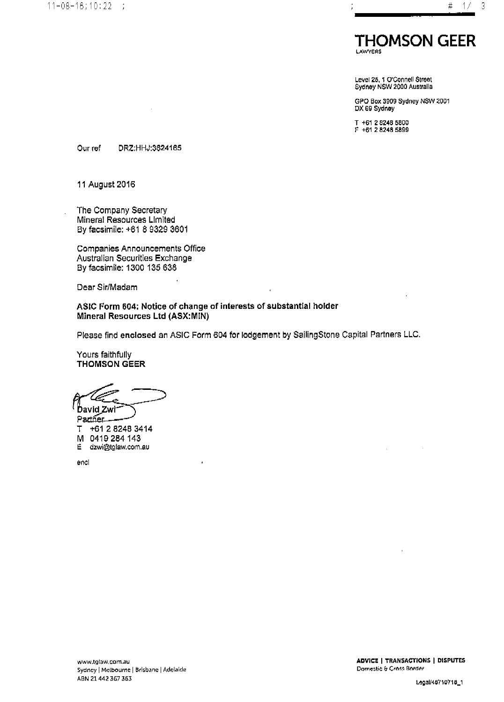

Level 25, 1 O'Connell Street<br>Sydney NSW 2000 Australia

GPO Box 3909 Sydney NSW 2001 DX 69 Sydney

T +61 2 8248 5800<br>F +61 2 8248 5899

Our ref DRZ:HHJ:3624165

11 August 2016

The Company Secretary Mineral Resources Limited By facsimile: +61 8 9329 3601

Companies Announcements Office Australian Securities Exchange By facsimile: 1300 135 638

Dear Sir/Madam

ASIC Form 604: Notice of change of interests of substantial holder Mineral Resources Ltd (ASX:MIN)

Please find enclosed an ASIC Form 604 for lodgement by SailingStone Capital Partners LLC.

Yours faithfully **THOMSON GEER** 

**David Zwi** 

Partner. T +61 2 8248 3414 M 0419 284 143 dzwi@tglaw.com.au E.

encl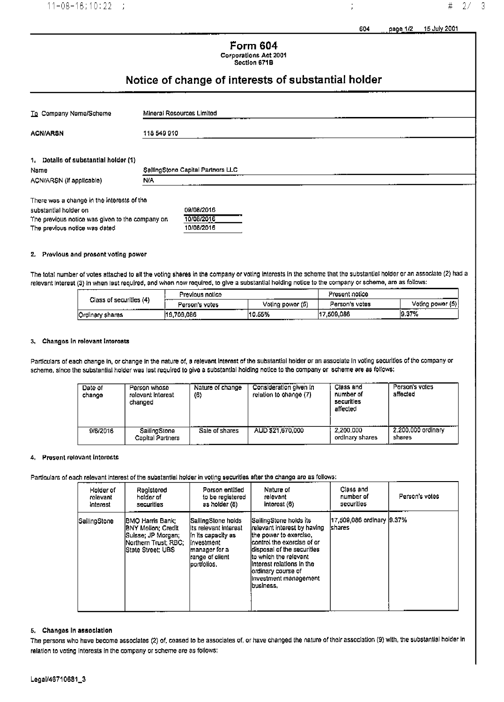j

# **Form 604** Corporations Act 2001<br>Section 671B

## Notice of change of interests of substantial holder

| To Company Name/Scheme                          | Mineral Resources Limited         |  |  |  |  |
|-------------------------------------------------|-----------------------------------|--|--|--|--|
|                                                 |                                   |  |  |  |  |
| <b>ACN/ARSN</b>                                 | 118 549 910                       |  |  |  |  |
|                                                 |                                   |  |  |  |  |
| 1, Details of substantial holder (1)            |                                   |  |  |  |  |
| Name                                            | SallingStone Capital Partners LLC |  |  |  |  |
| ACN/ARSN (If applicable)                        | N/A                               |  |  |  |  |
|                                                 |                                   |  |  |  |  |
| There was a change in the interests of the      |                                   |  |  |  |  |
| substantial holder on                           | 09/08/2016                        |  |  |  |  |
| The previous notice was given to the company on | 10/08/2016                        |  |  |  |  |

#### 2. Provious and present voting power

The previous notice was dated

The total number of votes attached to all the voting shares in the company or voting interests in the scheme that the substantial holder or an associato (2) had a relevant interest (3) in when last required, and when now required, to give a substantial holding notice to the company or scheme, are as follows:

10/08/2016

| <del>.</del>                 | Previous notico<br> |                  | Present notice  |                  |
|------------------------------|---------------------|------------------|-----------------|------------------|
| Class of securities (4)<br>. | Person's votes      | Voting powor (5) | Person's votes  | Voting power (5) |
| Ordinary shares              | 19.709.086<br>.     | 110.55%          | 17.509.086<br>. | 9.37%<br>___     |

#### 3. Changos in rolovant intorosts

Particulars of each change in, or change in the nature of, a relevant interest of the substantial holder or an associate in voting securities of the company or scheme, since the substantial holder was last required to give a substantial holding notice to the company or scheme are as follows:

| Date of<br>change | Person whose<br>rolovant Interest<br>changed | Nature of change<br>(6) | Consideration given in<br>relation to change (7) | Class and<br>number of<br>securities<br>affected | Person's votes<br>affected   |
|-------------------|----------------------------------------------|-------------------------|--------------------------------------------------|--------------------------------------------------|------------------------------|
| 9/8/2016          | SailingStone<br>Capital Partners             | Sale of shares          | AUD \$21,670,000                                 | 2.200.000<br>ordinary shares                     | 2.200.000 ordinary<br>shares |

#### Present relovant interests 4.

#### Particulars of each relevant interest of the substantial holder in voting securities after the change are as follows:

| Holder of    | Registered                                                                                                                        | Porson entitled                                                                                                                       | Nature of                                                                                                                                                                                                                                                               | Class and                              | Person's votes |
|--------------|-----------------------------------------------------------------------------------------------------------------------------------|---------------------------------------------------------------------------------------------------------------------------------------|-------------------------------------------------------------------------------------------------------------------------------------------------------------------------------------------------------------------------------------------------------------------------|----------------------------------------|----------------|
| rolovant     | holder of                                                                                                                         | to be registered                                                                                                                      | relevant                                                                                                                                                                                                                                                                | number of                              |                |
| Interest     | securities                                                                                                                        | as holder (8)                                                                                                                         | interest (6)                                                                                                                                                                                                                                                            | securities                             |                |
| SailingStone | <b>IBMO Harris Bank:</b><br><b>BNY Mollon: Credit</b><br> Suisse: JP Morgan:<br> Northern Trust: RBC:<br><b>State Street: UBS</b> | SallingStone holds<br>lits relevant interest<br>lin its capacity as<br>linvestment<br>manager for a<br>range of client<br>portfolios. | lSailingStone holds its<br>Irelevant interest by having<br>ithe power to exercise,<br>icontrol the exercise of or<br>ldisposal of the securities<br>ito which the relevant<br>lintorest relations in the<br>lordinary course of<br>linvestment management<br>lbusiness. | 117,509,086 ordinary 19.37%<br>Ishares |                |

#### 5. Changes in association

The persons who have become associates (2) of, ceased to be associates of, or have changed the nature of their association (9) with, the substantial holder in relation to voting interests in the company or scheme are as follows: